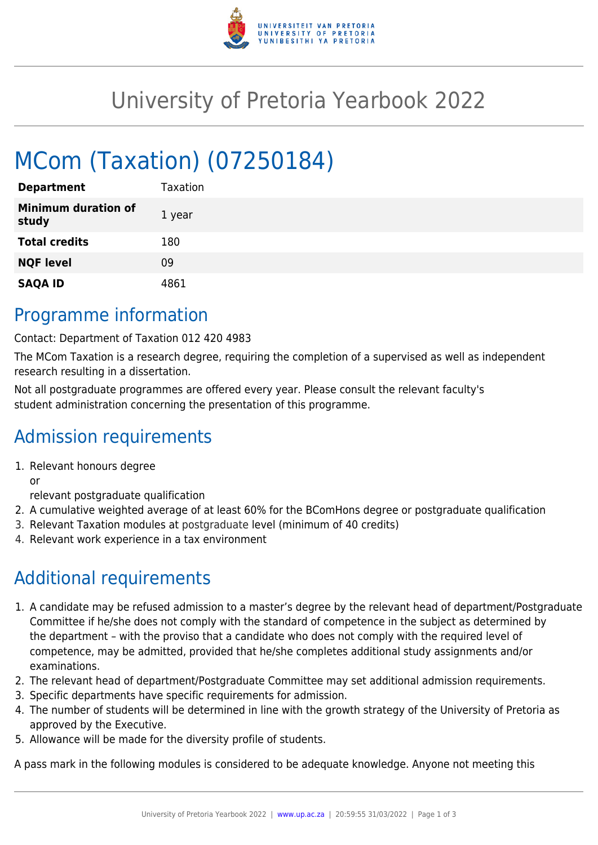

# University of Pretoria Yearbook 2022

# MCom (Taxation) (07250184)

| <b>Department</b>                   | Taxation |
|-------------------------------------|----------|
| <b>Minimum duration of</b><br>study | 1 year   |
| <b>Total credits</b>                | 180      |
| <b>NQF level</b>                    | 09       |
| <b>SAQA ID</b>                      | 4861     |

### Programme information

Contact: Department of Taxation 012 420 4983

The MCom Taxation is a research degree, requiring the completion of a supervised as well as independent research resulting in a dissertation.

Not all postgraduate programmes are offered every year. Please consult the relevant faculty's student administration concerning the presentation of this programme.

## Admission requirements

1. Relevant honours degree

or

relevant postgraduate qualification

- 2. A cumulative weighted average of at least 60% for the BComHons degree or postgraduate qualification
- 3. Relevant Taxation modules at postgraduate level (minimum of 40 credits)
- 4. Relevant work experience in a tax environment

## Additional requirements

- 1. A candidate may be refused admission to a master's degree by the relevant head of department/Postgraduate Committee if he/she does not comply with the standard of competence in the subject as determined by the department – with the proviso that a candidate who does not comply with the required level of competence, may be admitted, provided that he/she completes additional study assignments and/or examinations.
- 2. The relevant head of department/Postgraduate Committee may set additional admission requirements.
- 3. Specific departments have specific requirements for admission.
- 4. The number of students will be determined in line with the growth strategy of the University of Pretoria as approved by the Executive.
- 5. Allowance will be made for the diversity profile of students.

A pass mark in the following modules is considered to be adequate knowledge. Anyone not meeting this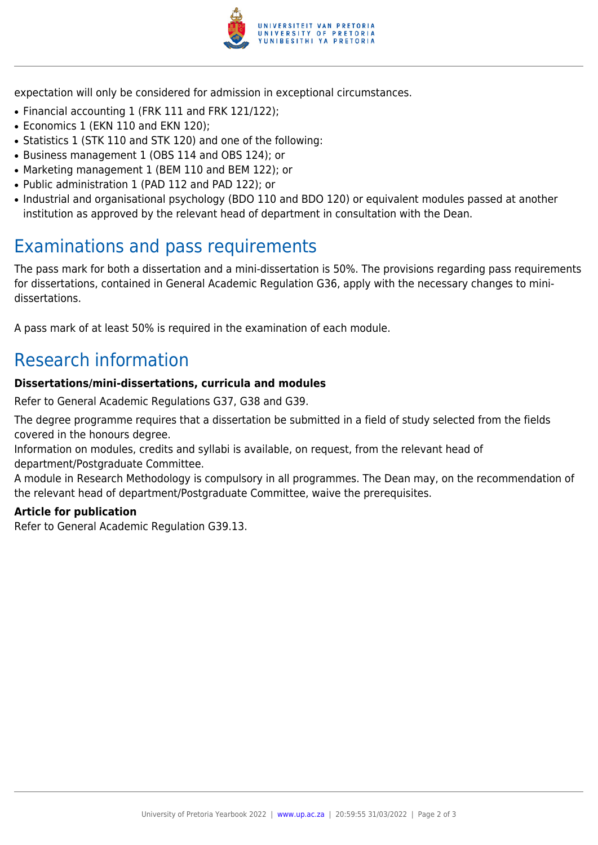

expectation will only be considered for admission in exceptional circumstances.

- Financial accounting 1 (FRK 111 and FRK 121/122);
- Economics 1 (EKN 110 and EKN 120);
- Statistics 1 (STK 110 and STK 120) and one of the following:
- Business management 1 (OBS 114 and OBS 124); or
- Marketing management 1 (BEM 110 and BEM 122); or
- Public administration 1 (PAD 112 and PAD 122); or
- Industrial and organisational psychology (BDO 110 and BDO 120) or equivalent modules passed at another institution as approved by the relevant head of department in consultation with the Dean.

# Examinations and pass requirements

The pass mark for both a dissertation and a mini-dissertation is 50%. The provisions regarding pass requirements for dissertations, contained in General Academic Regulation G36, apply with the necessary changes to minidissertations.

A pass mark of at least 50% is required in the examination of each module.

# Research information

### **Dissertations/mini-dissertations, curricula and modules**

Refer to General Academic Regulations G37, G38 and G39.

The degree programme requires that a dissertation be submitted in a field of study selected from the fields covered in the honours degree.

Information on modules, credits and syllabi is available, on request, from the relevant head of department/Postgraduate Committee.

A module in Research Methodology is compulsory in all programmes. The Dean may, on the recommendation of the relevant head of department/Postgraduate Committee, waive the prerequisites.

#### **Article for publication**

Refer to General Academic Regulation G39.13.